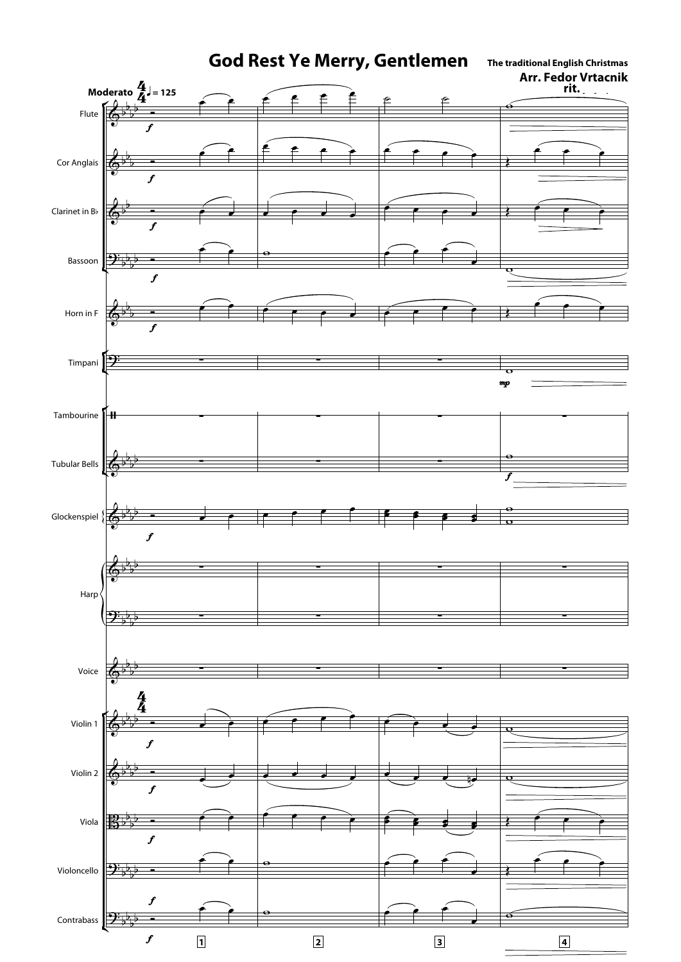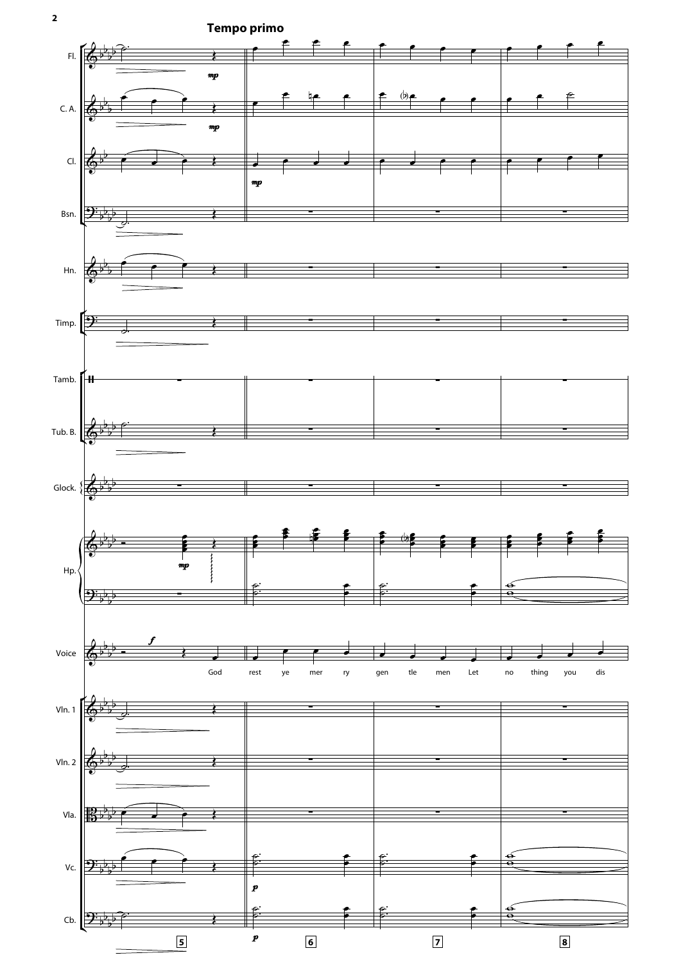

**2**